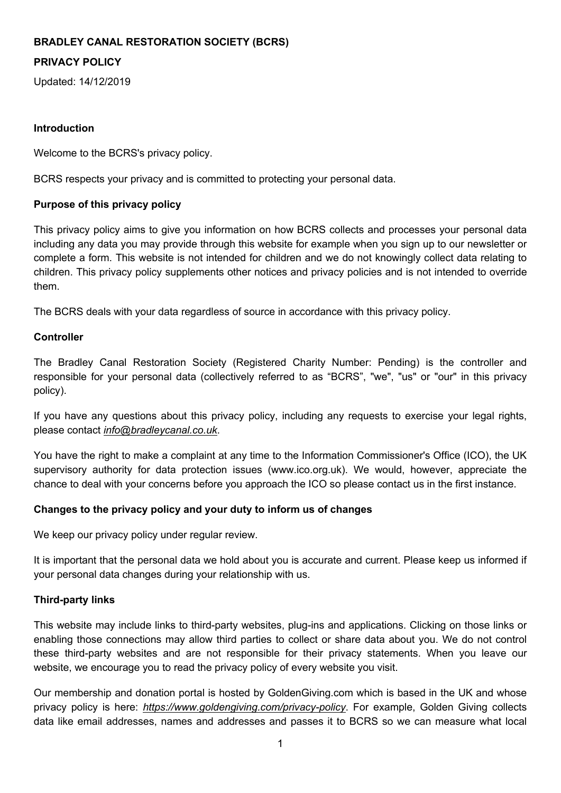# **BRADLEY CANAL RESTORATION SOCIETY (BCRS)**

# **PRIVACY POLICY**

Updated: 14/12/2019

#### **Introduction**

Welcome to the BCRS's privacy policy.

BCRS respects your privacy and is committed to protecting your personal data.

#### **Purpose of this privacy policy**

This privacy policy aims to give you information on how BCRS collects and processes your personal data including any data you may provide through this website for example when you sign up to our newsletter or complete a form. This website is not intended for children and we do not knowingly collect data relating to children. This privacy policy supplements other notices and privacy policies and is not intended to override them.

The BCRS deals with your data regardless of source in accordance with this privacy policy.

#### **Controller**

The Bradley Canal Restoration Society (Registered Charity Number: Pending) is the controller and responsible for your personal data (collectively referred to as "BCRS", "we", "us" or "our" in this privacy policy).

If you have any questions about this privacy policy, including any requests to exercise your legal rights, please contact *info@bradleycanal.co.uk*.

You have the right to make a complaint at any time to the Information Commissioner's Office (ICO), the UK supervisory authority for data protection issues (www.ico.org.uk). We would, however, appreciate the chance to deal with your concerns before you approach the ICO so please contact us in the first instance.

### **Changes to the privacy policy and your duty to inform us of changes**

We keep our privacy policy under regular review.

It is important that the personal data we hold about you is accurate and current. Please keep us informed if your personal data changes during your relationship with us.

### **Third-party links**

This website may include links to third-party websites, plug-ins and applications. Clicking on those links or enabling those connections may allow third parties to collect or share data about you. We do not control these third-party websites and are not responsible for their privacy statements. When you leave our website, we encourage you to read the privacy policy of every website you visit.

Our membership and donation portal is hosted by GoldenGiving.com which is based in the UK and whose privacy policy is here: *https://www.goldengiving.com/privacy-policy*. For example, Golden Giving collects data like email addresses, names and addresses and passes it to BCRS so we can measure what local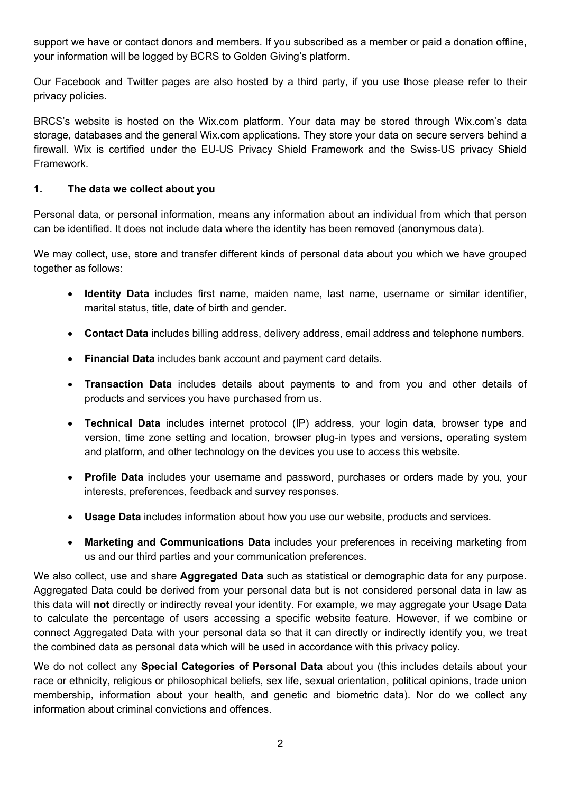support we have or contact donors and members. If you subscribed as a member or paid a donation offline, your information will be logged by BCRS to Golden Giving's platform.

Our Facebook and Twitter pages are also hosted by a third party, if you use those please refer to their privacy policies.

BRCS's website is hosted on the Wix.com platform. Your data may be stored through Wix.com's data storage, databases and the general Wix.com applications. They store your data on secure servers behind a firewall. Wix is certified under the EU-US Privacy Shield Framework and the Swiss-US privacy Shield Framework.

### **1. The data we collect about you**

Personal data, or personal information, means any information about an individual from which that person can be identified. It does not include data where the identity has been removed (anonymous data).

We may collect, use, store and transfer different kinds of personal data about you which we have grouped together as follows:

- **Identity Data** includes first name, maiden name, last name, username or similar identifier, marital status, title, date of birth and gender.
- **Contact Data** includes billing address, delivery address, email address and telephone numbers.
- **Financial Data** includes bank account and payment card details.
- **Transaction Data** includes details about payments to and from you and other details of products and services you have purchased from us.
- **Technical Data** includes internet protocol (IP) address, your login data, browser type and version, time zone setting and location, browser plug-in types and versions, operating system and platform, and other technology on the devices you use to access this website.
- **Profile Data** includes your username and password, purchases or orders made by you, your interests, preferences, feedback and survey responses.
- **Usage Data** includes information about how you use our website, products and services.
- **Marketing and Communications Data** includes your preferences in receiving marketing from us and our third parties and your communication preferences.

We also collect, use and share **Aggregated Data** such as statistical or demographic data for any purpose. Aggregated Data could be derived from your personal data but is not considered personal data in law as this data will **not** directly or indirectly reveal your identity. For example, we may aggregate your Usage Data to calculate the percentage of users accessing a specific website feature. However, if we combine or connect Aggregated Data with your personal data so that it can directly or indirectly identify you, we treat the combined data as personal data which will be used in accordance with this privacy policy.

We do not collect any **Special Categories of Personal Data** about you (this includes details about your race or ethnicity, religious or philosophical beliefs, sex life, sexual orientation, political opinions, trade union membership, information about your health, and genetic and biometric data). Nor do we collect any information about criminal convictions and offences.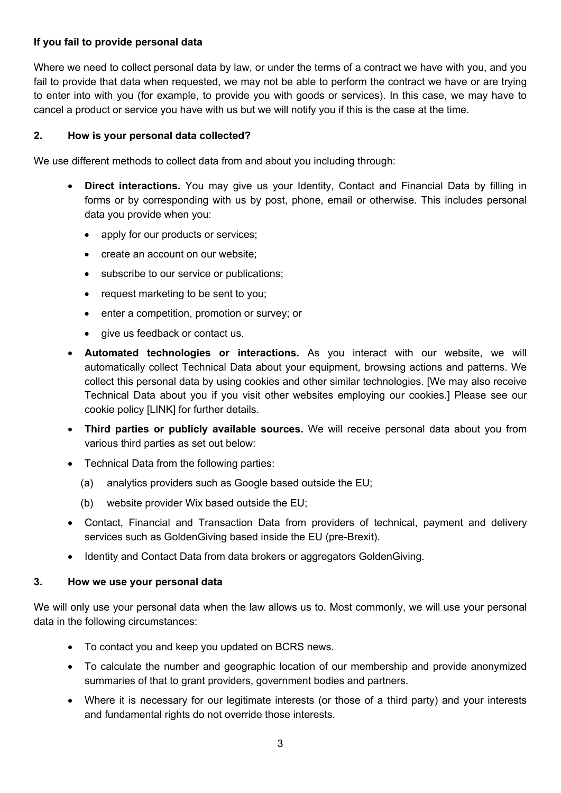# **If you fail to provide personal data**

Where we need to collect personal data by law, or under the terms of a contract we have with you, and you fail to provide that data when requested, we may not be able to perform the contract we have or are trying to enter into with you (for example, to provide you with goods or services). In this case, we may have to cancel a product or service you have with us but we will notify you if this is the case at the time.

### **2. How is your personal data collected?**

We use different methods to collect data from and about you including through:

- **Direct interactions.** You may give us your Identity, Contact and Financial Data by filling in forms or by corresponding with us by post, phone, email or otherwise. This includes personal data you provide when you:
	- apply for our products or services;
	- create an account on our website;
	- subscribe to our service or publications;
	- request marketing to be sent to you;
	- enter a competition, promotion or survey; or
	- give us feedback or contact us.
- **Automated technologies or interactions.** As you interact with our website, we will automatically collect Technical Data about your equipment, browsing actions and patterns. We collect this personal data by using cookies and other similar technologies. [We may also receive Technical Data about you if you visit other websites employing our cookies.] Please see our cookie policy [LINK] for further details.
- **Third parties or publicly available sources.** We will receive personal data about you from various third parties as set out below:
- Technical Data from the following parties:
	- (a) analytics providers such as Google based outside the EU;
	- (b) website provider Wix based outside the EU;
- Contact, Financial and Transaction Data from providers of technical, payment and delivery services such as GoldenGiving based inside the EU (pre-Brexit).
- Identity and Contact Data from data brokers or aggregators GoldenGiving.

### **3. How we use your personal data**

We will only use your personal data when the law allows us to. Most commonly, we will use your personal data in the following circumstances:

- To contact you and keep you updated on BCRS news.
- To calculate the number and geographic location of our membership and provide anonymized summaries of that to grant providers, government bodies and partners.
- Where it is necessary for our legitimate interests (or those of a third party) and your interests and fundamental rights do not override those interests.